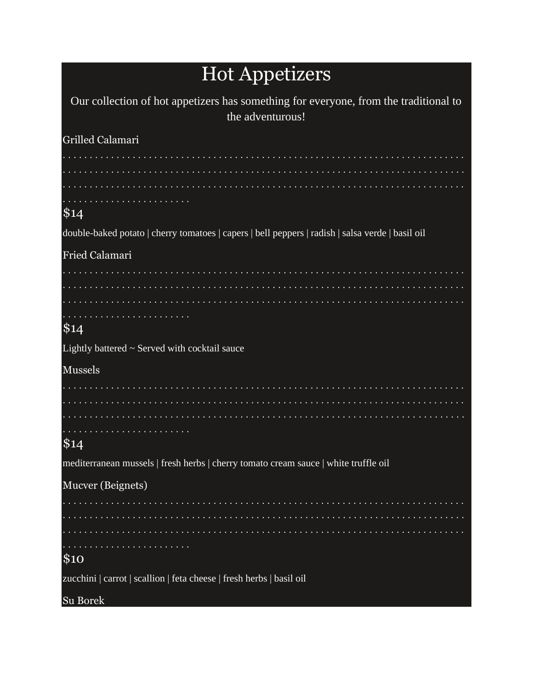# Hot Appetizers

| Our collection of hot appetizers has something for everyone, from the traditional to<br>the adventurous! |
|----------------------------------------------------------------------------------------------------------|
| Grilled Calamari                                                                                         |
|                                                                                                          |
| \$14                                                                                                     |
| double-baked potato   cherry tomatoes   capers   bell peppers   radish   salsa verde   basil oil         |
| Fried Calamari                                                                                           |
|                                                                                                          |
| \$14                                                                                                     |
| Lightly battered $\sim$ Served with cocktail sauce                                                       |
| <b>Mussels</b>                                                                                           |
|                                                                                                          |
|                                                                                                          |
| \$14                                                                                                     |
| mediterranean mussels   fresh herbs   cherry tomato cream sauce   white truffle oil                      |
| Mucver (Beignets)                                                                                        |
|                                                                                                          |
| \$10                                                                                                     |
| zucchini   carrot   scallion   feta cheese   fresh herbs   basil oil                                     |
| Su Borek                                                                                                 |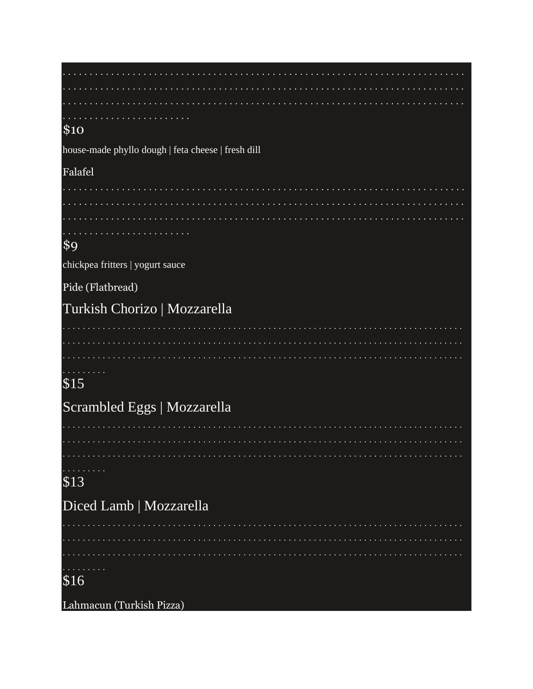| .                                                  |
|----------------------------------------------------|
| \$10                                               |
| house-made phyllo dough   feta cheese   fresh dill |
| Falafel                                            |
|                                                    |
|                                                    |
|                                                    |
| $\$9$                                              |
| chickpea fritters   yogurt sauce                   |
| Pide (Flatbread)                                   |
| Turkish Chorizo   Mozzarella                       |
|                                                    |
|                                                    |
|                                                    |
| \$15                                               |
| Scrambled Eggs   Mozzarella                        |
| .                                                  |
|                                                    |
|                                                    |
| \$13                                               |
|                                                    |
| Diced Lamb   Mozzarella                            |
|                                                    |
|                                                    |
| $\overline{$16}$                                   |
|                                                    |
| Lahmacun (Turkish Pizza)                           |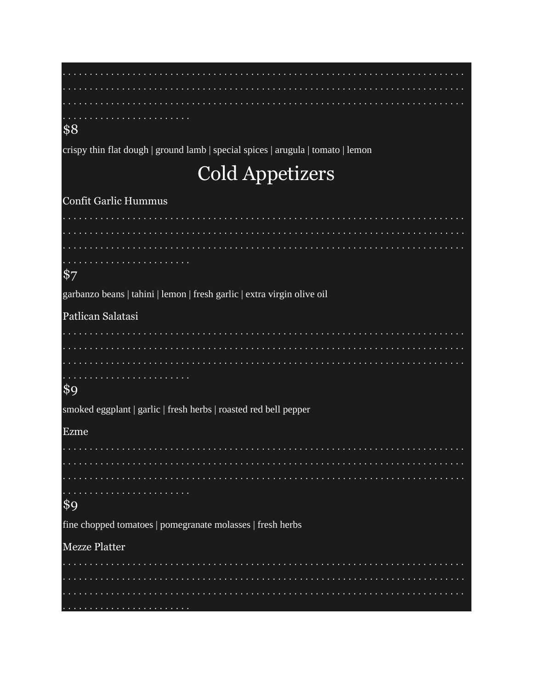| and a series of the contract of the contract of the contract of the contract of the contract of the contract of the contract of the contract of the contract of the contract of the contract of the contract of the contract o<br>\$8 |
|---------------------------------------------------------------------------------------------------------------------------------------------------------------------------------------------------------------------------------------|
| crispy thin flat dough   ground lamb   special spices   arugula   tomato   lemon                                                                                                                                                      |
| <b>Cold Appetizers</b>                                                                                                                                                                                                                |
| Confit Garlic Hummus                                                                                                                                                                                                                  |
|                                                                                                                                                                                                                                       |
|                                                                                                                                                                                                                                       |
|                                                                                                                                                                                                                                       |
| $\frac{1}{2}$                                                                                                                                                                                                                         |
| garbanzo beans   tahini   lemon   fresh garlic   extra virgin olive oil                                                                                                                                                               |
| Patlican Salatasi                                                                                                                                                                                                                     |
|                                                                                                                                                                                                                                       |
|                                                                                                                                                                                                                                       |
| the contract of the contract of the contract of the contract of the contract of the contract of the contract of the contract of the contract of the contract of the contract of the contract of the contract of the contract o        |
| \$9                                                                                                                                                                                                                                   |
| smoked eggplant   garlic   fresh herbs   roasted red bell pepper                                                                                                                                                                      |
| Ezme                                                                                                                                                                                                                                  |
|                                                                                                                                                                                                                                       |
|                                                                                                                                                                                                                                       |
|                                                                                                                                                                                                                                       |
| $\frac{1}{2}$                                                                                                                                                                                                                         |
| fine chopped tomatoes   pomegranate molasses   fresh herbs                                                                                                                                                                            |
| <b>Mezze Platter</b>                                                                                                                                                                                                                  |
|                                                                                                                                                                                                                                       |
|                                                                                                                                                                                                                                       |
|                                                                                                                                                                                                                                       |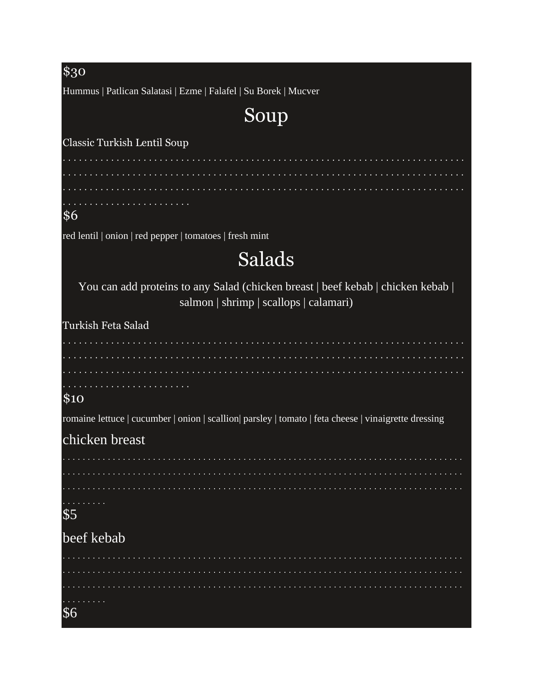## $$30$ Hummus | Patlican Salatasi | Ezme | Falafel | Su Borek | Mucver Soup Classic Turkish Lentil Soup . . . . . . . . . . . . . . . . . . . . . . . . . . . . . . . . . .  $\frac{1}{6}$ red lentil | onion | red pepper | tomatoes | fresh mint Salads You can add proteins to any Salad (chicken breast | beef kebab | chicken kebab | salmon | shrimp | scallops | calamari) Turkish Feta Salad . . . . . . . . . . . . . . . . . . . .  $$10$ romaine lettuce | cucumber | onion | scallion| parsley | tomato | feta cheese | vinaigrette dressing chicken breast . . . . . . . . . . . . . .  $$5$ beef kebab . . . . . . . . . . . \$6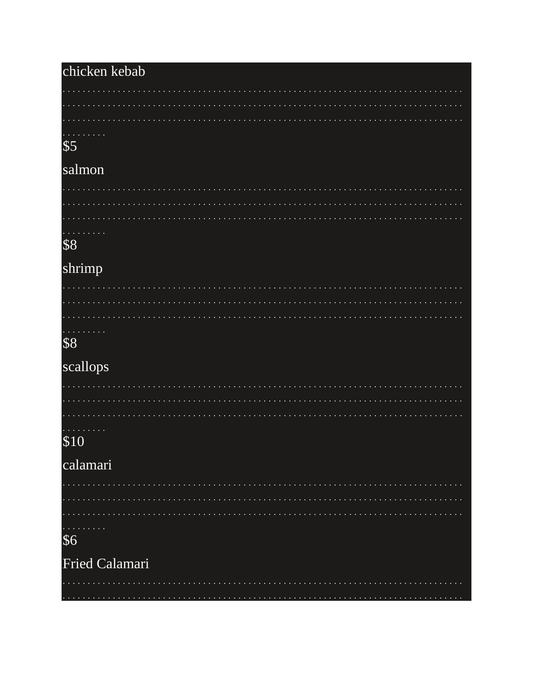### chicken kebab a a a a a a a \$5 salmon  $\mathcal{L}^{\mathcal{L}}$ . . . . . . . . . \$8 shrimp  $\mathcal{L} \times \mathcal{L} \times \mathcal{L}$ \$8 scallops  $\mathbf{r}$ . . . . . . . . . . . . . . . . . . . . . . . . . . . .  $\alpha$  ,  $\alpha$  ,  $\alpha$ \$10 calamari . . . . . . . . . .  $\mathbf{r}$ . . . . . . . . . . . . . . . . . . . . . . . . . . . . . \$6 Fried Calamari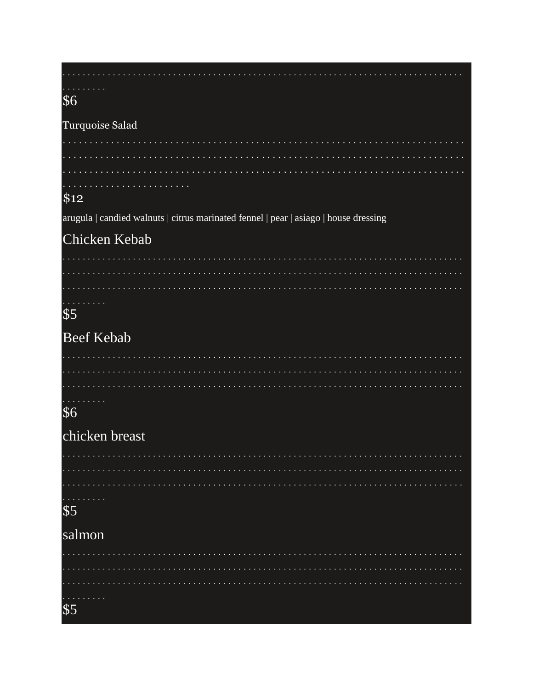| \$6                                                                                  |
|--------------------------------------------------------------------------------------|
|                                                                                      |
| Turquoise Salad                                                                      |
|                                                                                      |
|                                                                                      |
|                                                                                      |
| \$12                                                                                 |
| arugula   candied walnuts   citrus marinated fennel   pear   asiago   house dressing |
| Chicken Kebab                                                                        |
|                                                                                      |
|                                                                                      |
|                                                                                      |
| $\sqrt[6]{5}$                                                                        |
|                                                                                      |
| <b>Beef Kebab</b>                                                                    |
|                                                                                      |
|                                                                                      |
|                                                                                      |
| \$6                                                                                  |
| chicken breast                                                                       |
|                                                                                      |
|                                                                                      |
|                                                                                      |
| \$5                                                                                  |
| salmon                                                                               |
|                                                                                      |
|                                                                                      |
|                                                                                      |
|                                                                                      |
| \$5                                                                                  |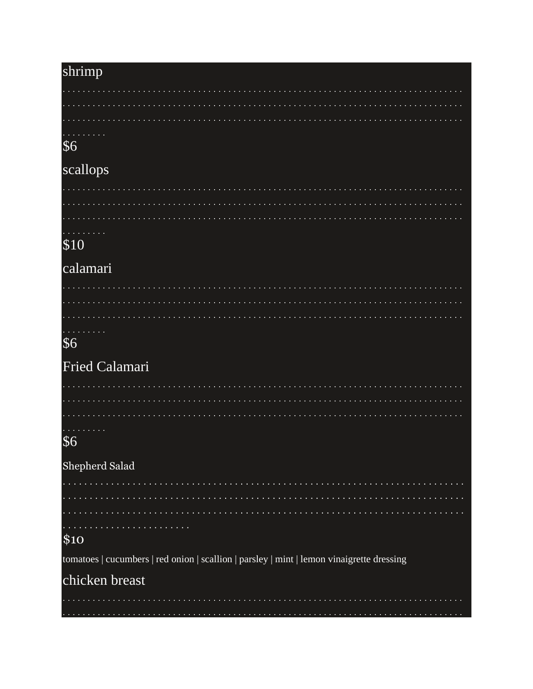| shrimp                                                                                    |
|-------------------------------------------------------------------------------------------|
|                                                                                           |
|                                                                                           |
|                                                                                           |
| \$6                                                                                       |
| scallops                                                                                  |
|                                                                                           |
|                                                                                           |
| .                                                                                         |
| \$10                                                                                      |
| calamari                                                                                  |
|                                                                                           |
|                                                                                           |
|                                                                                           |
| \$6                                                                                       |
|                                                                                           |
| Fried Calamari                                                                            |
|                                                                                           |
|                                                                                           |
| .                                                                                         |
| \$6                                                                                       |
| Shepherd Salad                                                                            |
|                                                                                           |
|                                                                                           |
|                                                                                           |
| \$10                                                                                      |
| tomatoes   cucumbers   red onion   scallion   parsley   mint   lemon vinaigrette dressing |
| chicken breast                                                                            |
|                                                                                           |
|                                                                                           |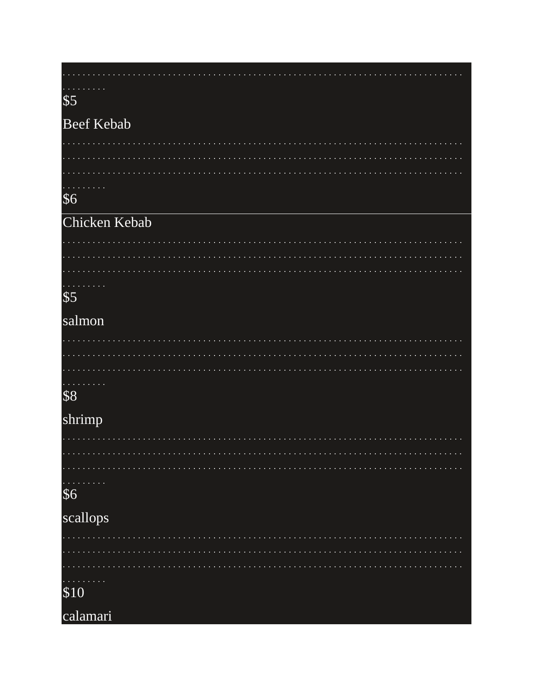# $\frac{1}{5}$

#### **Beef Kebab**

. . . . .

|  | $\mathcal{L}(\mathcal{L})$ and $\mathcal{L}(\mathcal{L})$ and $\mathcal{L}(\mathcal{L})$ |  |  |  |  |  |  |  |  |  |  |  |  |  |  |  |  |  |  |  |  |  |  |  |  |  |  |  |  |  |  |
|--|------------------------------------------------------------------------------------------|--|--|--|--|--|--|--|--|--|--|--|--|--|--|--|--|--|--|--|--|--|--|--|--|--|--|--|--|--|--|

#### $$6$

#### Chicken Kebab

| $\mathcal{L}(\mathcal{L})$ and $\mathcal{L}(\mathcal{L})$ and $\mathcal{L}(\mathcal{L})$ and $\mathcal{L}(\mathcal{L})$ |  |  |  |  |  |  |  |  |  |  |  |  |  |  |  |  |  |  |  |  |  |  |  |  |  |  |  |
|-------------------------------------------------------------------------------------------------------------------------|--|--|--|--|--|--|--|--|--|--|--|--|--|--|--|--|--|--|--|--|--|--|--|--|--|--|--|

### $\overline{\$5}$

#### salmon

|  |  | . |  |  |  |  |  |  |  |  |  |  |  |  |  |  |  |  |  |  |  |  |  |  |  |  |  |
|--|--|---|--|--|--|--|--|--|--|--|--|--|--|--|--|--|--|--|--|--|--|--|--|--|--|--|--|

### \$8

#### shrimp

| .        |  |  |  |  |  |  |  |  |  |  |  |  |  |  |  |  |  |  |  |  |  |  |  |  |  |  |  |  |  |  |  |  |  |  |
|----------|--|--|--|--|--|--|--|--|--|--|--|--|--|--|--|--|--|--|--|--|--|--|--|--|--|--|--|--|--|--|--|--|--|--|
| \$6      |  |  |  |  |  |  |  |  |  |  |  |  |  |  |  |  |  |  |  |  |  |  |  |  |  |  |  |  |  |  |  |  |  |  |
| scallops |  |  |  |  |  |  |  |  |  |  |  |  |  |  |  |  |  |  |  |  |  |  |  |  |  |  |  |  |  |  |  |  |  |  |

| .<br>\$10 |  |
|-----------|--|

#### calamari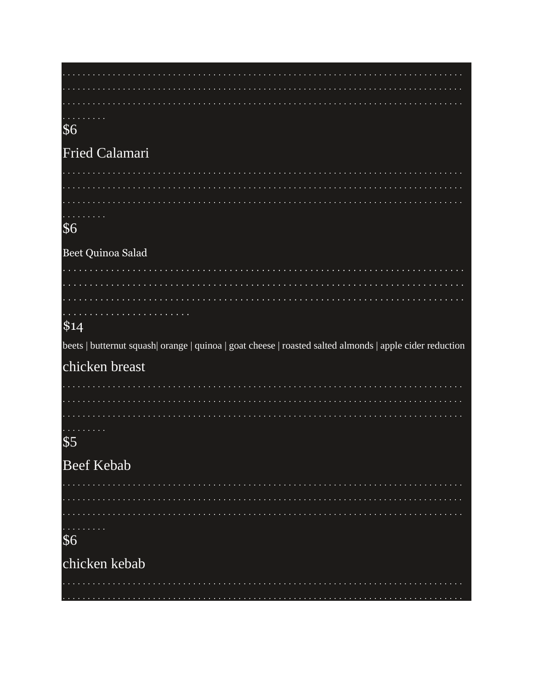| \$6                                                                                                      |
|----------------------------------------------------------------------------------------------------------|
| <b>Fried Calamari</b>                                                                                    |
|                                                                                                          |
|                                                                                                          |
| المتحدث والمناور                                                                                         |
| \$6                                                                                                      |
| Beet Quinoa Salad                                                                                        |
|                                                                                                          |
|                                                                                                          |
|                                                                                                          |
| \$14                                                                                                     |
| beets   butternut squash  orange   quinoa   goat cheese   roasted salted almonds   apple cider reduction |
|                                                                                                          |
| chicken breast                                                                                           |
|                                                                                                          |
|                                                                                                          |
| <b>Service</b> State                                                                                     |
| \$5                                                                                                      |
|                                                                                                          |
| <b>Beef Kebab</b>                                                                                        |
|                                                                                                          |
| .                                                                                                        |
|                                                                                                          |
| \$6                                                                                                      |
| chicken kebab                                                                                            |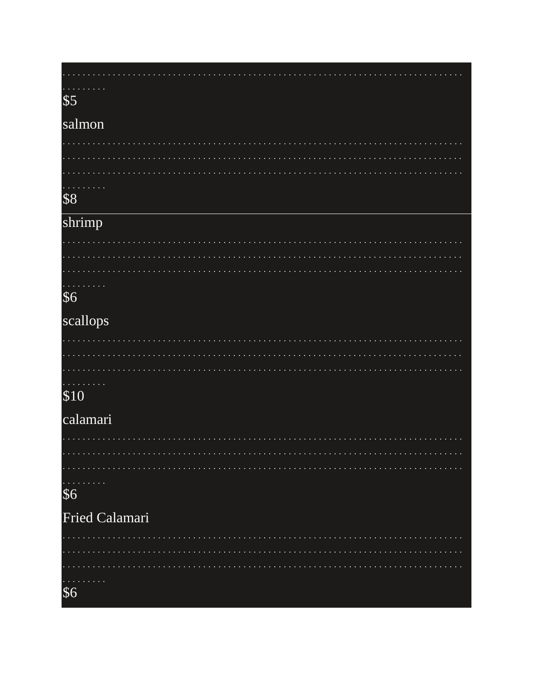# $\frac{1}{5}$

#### salmon

. . . . .

|  |  | $\mathcal{L}(\mathcal{L})$ and $\mathcal{L}(\mathcal{L})$ and $\mathcal{L}(\mathcal{L})$ and $\mathcal{L}(\mathcal{L})$ |  |  |  |  |  |  |  |  |  |  |  |  |  |  |  |  |  |  |  |  |  |  |  |  |  |  |  |
|--|--|-------------------------------------------------------------------------------------------------------------------------|--|--|--|--|--|--|--|--|--|--|--|--|--|--|--|--|--|--|--|--|--|--|--|--|--|--|--|

 $\sim$  .

 $\sim 100$ 

 $\sim$  . . . .

#### $\overline{\$8}$

## shrimp

| . |  |  |  |  |  |  |  |  |  |  |  |  |  |  |  |  |  |  |  |  |  |  |  |  |  |  |  |
|---|--|--|--|--|--|--|--|--|--|--|--|--|--|--|--|--|--|--|--|--|--|--|--|--|--|--|--|
|   |  |  |  |  |  |  |  |  |  |  |  |  |  |  |  |  |  |  |  |  |  |  |  |  |  |  |  |

#### $$6$

### scallops

|  | . |  |  |  |  |  |  |  |  |  |  |  |  |  |  |  |  |  |  |  |  |  |  |  |  |  |  |  |  |  |  |  |  |
|--|---|--|--|--|--|--|--|--|--|--|--|--|--|--|--|--|--|--|--|--|--|--|--|--|--|--|--|--|--|--|--|--|--|

### $$10$

#### calamari

| <del>.</del><br>\$6   |  |  |  |  |  |  |  |  |  |  |  |  |  |  |  |
|-----------------------|--|--|--|--|--|--|--|--|--|--|--|--|--|--|--|
| <b>Fried Calamari</b> |  |  |  |  |  |  |  |  |  |  |  |  |  |  |  |
|                       |  |  |  |  |  |  |  |  |  |  |  |  |  |  |  |
|                       |  |  |  |  |  |  |  |  |  |  |  |  |  |  |  |

# $\begin{array}{c} 0.0000 \\ 0.0000 \\ 0.0000 \\ \hline \end{array}$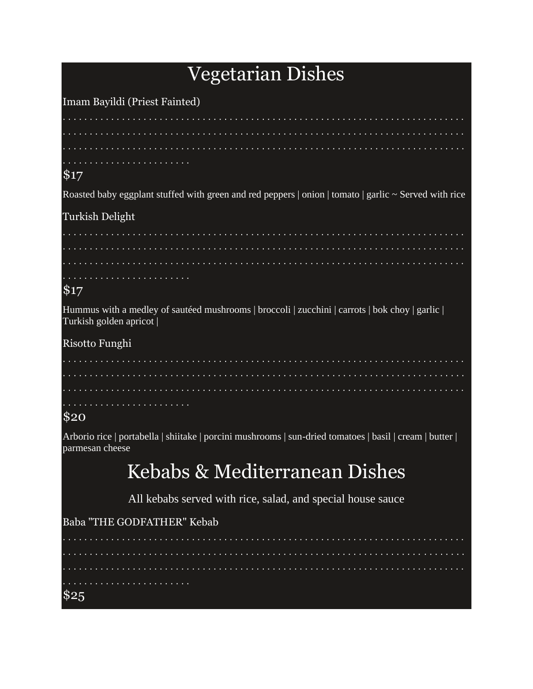## **Vegetarian Dishes**

Imam Bayildi (Priest Fainted) . . . . . . . . . . . . . .  $$17$ Roasted baby eggplant stuffed with green and red peppers | onion | tomato | garlic ~ Served with rice Turkish Delight and a straight and a straight  $$17$ Hummus with a medley of sautéed mushrooms | broccoli | zucchini | carrots | bok choy | garlic | Turkish golden apricot | Risotto Funghi  $\mathbf{1} \cdot \mathbf{1} \cdot \mathbf{1} \cdot \mathbf{1} \cdot \mathbf{1} \cdot \mathbf{1} \cdot \mathbf{1} \cdot \mathbf{1} \cdot \mathbf{1} \cdot \mathbf{1} \cdot \mathbf{1} \cdot \mathbf{1} \cdot \mathbf{1} \cdot \mathbf{1} \cdot \mathbf{1} \cdot \mathbf{1} \cdot \mathbf{1} \cdot \mathbf{1} \cdot \mathbf{1} \cdot \mathbf{1} \cdot \mathbf{1} \cdot \mathbf{1} \cdot \mathbf{1} \cdot \mathbf{1} \cdot \mathbf{1} \cdot \mathbf{1} \cdot \mathbf{1} \cdot \mathbf{$  $$20$ Arborio rice | portabella | shiitake | porcini mushrooms | sun-dried tomatoes | basil | cream | butter | parmesan cheese

## Kebabs & Mediterranean Dishes

All kebabs served with rice, salad, and special house sauce

Baba "THE GODFATHER" Kebab

. . . . . . . . . . . . . . . . . . . . . . . . . . . . . . . . . \$25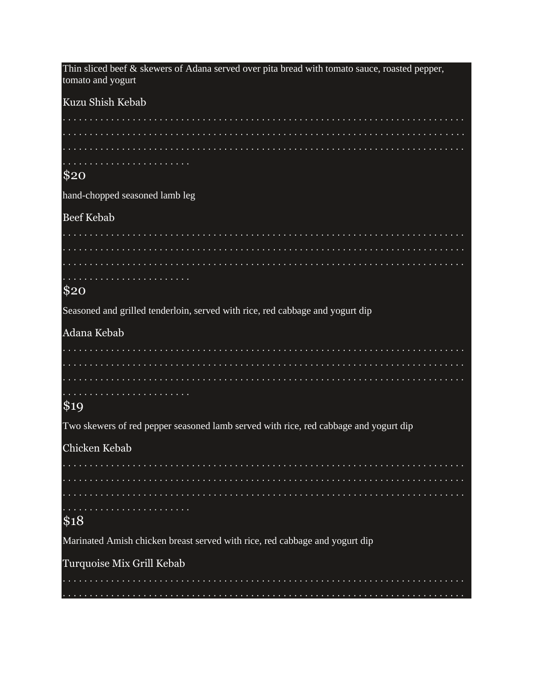| Thin sliced beef $\&$ skewers of Adana served over pita bread with tomato sauce, roasted pepper,<br>tomato and yogurt |
|-----------------------------------------------------------------------------------------------------------------------|
| Kuzu Shish Kebab                                                                                                      |
|                                                                                                                       |
|                                                                                                                       |
|                                                                                                                       |
| \$20                                                                                                                  |
| hand-chopped seasoned lamb leg                                                                                        |
| <b>Beef Kebab</b>                                                                                                     |
|                                                                                                                       |
|                                                                                                                       |
|                                                                                                                       |
| \$20                                                                                                                  |
| Seasoned and grilled tenderloin, served with rice, red cabbage and yogurt dip                                         |
| Adana Kebab                                                                                                           |
|                                                                                                                       |
|                                                                                                                       |
|                                                                                                                       |
| \$19                                                                                                                  |
| Two skewers of red pepper seasoned lamb served with rice, red cabbage and yogurt dip                                  |
| Chicken Kebab                                                                                                         |
|                                                                                                                       |
|                                                                                                                       |
|                                                                                                                       |
| \$18                                                                                                                  |
| Marinated Amish chicken breast served with rice, red cabbage and yogurt dip                                           |
| Turquoise Mix Grill Kebab                                                                                             |
|                                                                                                                       |
|                                                                                                                       |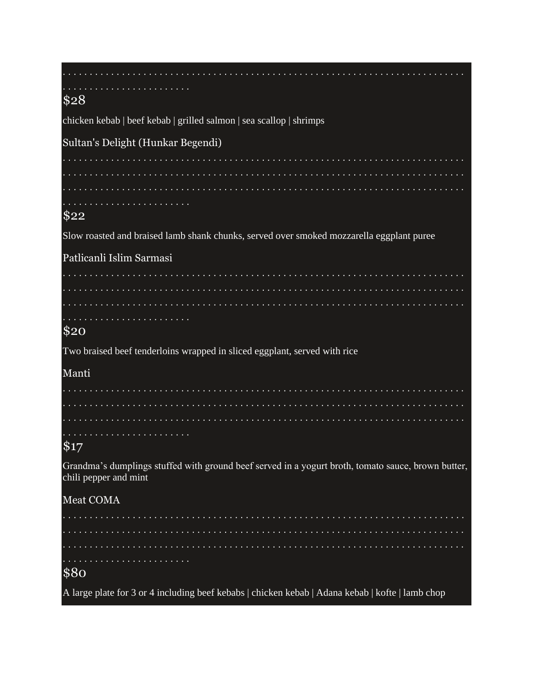| \$28                                                                                                                        |
|-----------------------------------------------------------------------------------------------------------------------------|
| chicken kebab   beef kebab   grilled salmon   sea scallop   shrimps                                                         |
| Sultan's Delight (Hunkar Begendi)                                                                                           |
|                                                                                                                             |
|                                                                                                                             |
|                                                                                                                             |
| \$22                                                                                                                        |
| Slow roasted and braised lamb shank chunks, served over smoked mozzarella eggplant puree                                    |
| Patlicanli Islim Sarmasi                                                                                                    |
|                                                                                                                             |
|                                                                                                                             |
|                                                                                                                             |
| \$20                                                                                                                        |
| Two braised beef tenderloins wrapped in sliced eggplant, served with rice                                                   |
| Manti                                                                                                                       |
|                                                                                                                             |
|                                                                                                                             |
|                                                                                                                             |
| \$17                                                                                                                        |
| Grandma's dumplings stuffed with ground beef served in a yogurt broth, tomato sauce, brown butter,<br>chili pepper and mint |
| Meat COMA                                                                                                                   |
|                                                                                                                             |
|                                                                                                                             |
|                                                                                                                             |
| \$80                                                                                                                        |
| A large plate for 3 or 4 including beef kebabs   chicken kebab   Adana kebab   kofte   lamb chop                            |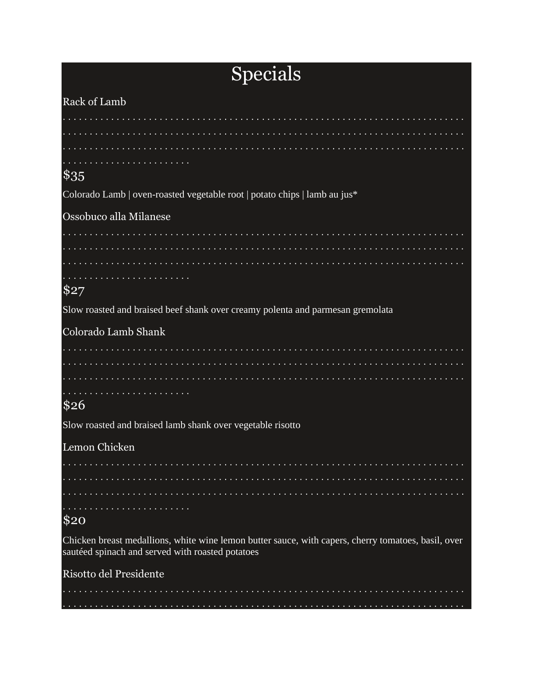# Specials

| Rack of Lamb                                                                                                                                            |
|---------------------------------------------------------------------------------------------------------------------------------------------------------|
|                                                                                                                                                         |
|                                                                                                                                                         |
|                                                                                                                                                         |
| $\$35$                                                                                                                                                  |
| Colorado Lamb   oven-roasted vegetable root   potato chips   lamb au jus*                                                                               |
|                                                                                                                                                         |
| Ossobuco alla Milanese                                                                                                                                  |
|                                                                                                                                                         |
|                                                                                                                                                         |
|                                                                                                                                                         |
| \$27                                                                                                                                                    |
| Slow roasted and braised beef shank over creamy polenta and parmesan gremolata                                                                          |
| Colorado Lamb Shank                                                                                                                                     |
|                                                                                                                                                         |
|                                                                                                                                                         |
|                                                                                                                                                         |
| \$26                                                                                                                                                    |
| Slow roasted and braised lamb shank over vegetable risotto                                                                                              |
| Lemon Chicken                                                                                                                                           |
|                                                                                                                                                         |
|                                                                                                                                                         |
|                                                                                                                                                         |
| \$20                                                                                                                                                    |
| Chicken breast medallions, white wine lemon butter sauce, with capers, cherry tomatoes, basil, over<br>sautéed spinach and served with roasted potatoes |
| Risotto del Presidente                                                                                                                                  |
|                                                                                                                                                         |
|                                                                                                                                                         |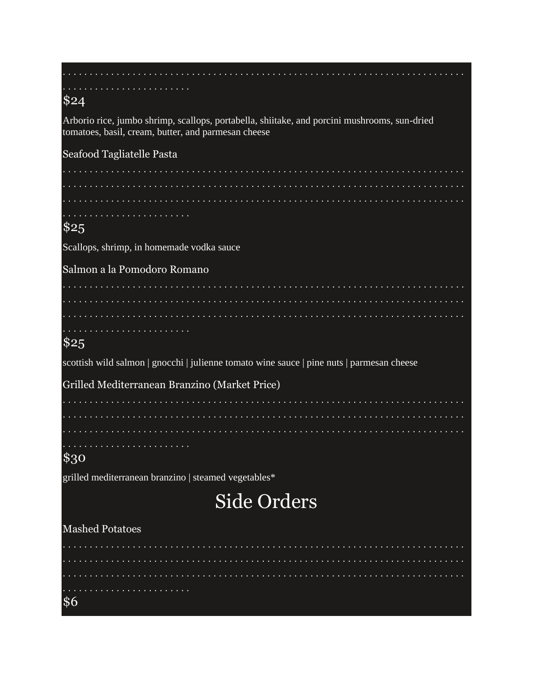| \$24                                                                                                                                                |
|-----------------------------------------------------------------------------------------------------------------------------------------------------|
| Arborio rice, jumbo shrimp, scallops, portabella, shiitake, and porcini mushrooms, sun-dried<br>tomatoes, basil, cream, butter, and parmesan cheese |
| Seafood Tagliatelle Pasta                                                                                                                           |
|                                                                                                                                                     |
|                                                                                                                                                     |
| .                                                                                                                                                   |
| \$25                                                                                                                                                |
| Scallops, shrimp, in homemade vodka sauce                                                                                                           |
| Salmon a la Pomodoro Romano                                                                                                                         |
|                                                                                                                                                     |
|                                                                                                                                                     |
| .                                                                                                                                                   |
| \$25                                                                                                                                                |
| scottish wild salmon   gnocchi   julienne tomato wine sauce   pine nuts   parmesan cheese                                                           |
| Grilled Mediterranean Branzino (Market Price)                                                                                                       |
|                                                                                                                                                     |
|                                                                                                                                                     |
|                                                                                                                                                     |
| \$30                                                                                                                                                |
| grilled mediterranean branzino   steamed vegetables*                                                                                                |
| <b>Side Orders</b>                                                                                                                                  |
| <b>Mashed Potatoes</b>                                                                                                                              |
|                                                                                                                                                     |
| .                                                                                                                                                   |
|                                                                                                                                                     |
| \$6                                                                                                                                                 |